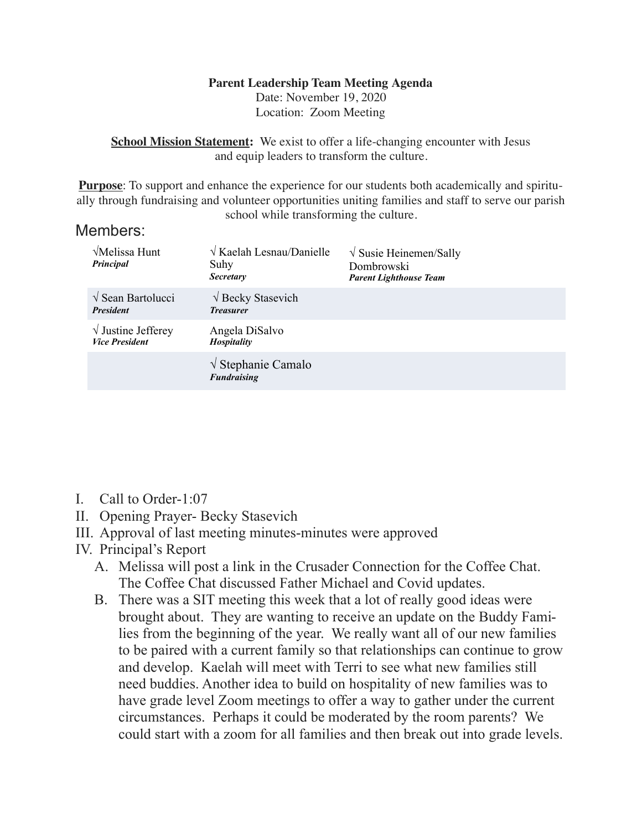## **Parent Leadership Team Meeting Agenda**

Date: November 19, 2020 Location: Zoom Meeting

**School Mission Statement:** We exist to offer a life-changing encounter with Jesus and equip leaders to transform the culture.

**Purpose**: To support and enhance the experience for our students both academically and spiritually through fundraising and volunteer opportunities uniting families and staff to serve our parish school while transforming the culture.

## Members:

| $\sqrt{\text{Melissa Hunt}}$<br>Principal           | $\sqrt{K$ aelah Lesnau/Danielle<br>Suhy<br><b>Secretary</b> | $\sqrt{\text{S} }$ Susie Heinemen/Sally<br>Dombrowski<br><b>Parent Lighthouse Team</b> |
|-----------------------------------------------------|-------------------------------------------------------------|----------------------------------------------------------------------------------------|
| $\sqrt{\text{Sean Bartolucci}}$<br><b>President</b> | $\sqrt{\text{Becky}}$ Stasevich<br><b>Treasurer</b>         |                                                                                        |
| $\sqrt{}$ Justine Jefferey<br><b>Vice President</b> | Angela DiSalvo<br><b>Hospitality</b>                        |                                                                                        |
|                                                     | $\sqrt{\text{Stephanie} }$ Camalo<br><b>Fundraising</b>     |                                                                                        |

- I. Call to Order-1:07
- II. Opening Prayer- Becky Stasevich
- III. Approval of last meeting minutes-minutes were approved
- IV. Principal's Report
	- A. Melissa will post a link in the Crusader Connection for the Coffee Chat. The Coffee Chat discussed Father Michael and Covid updates.
	- B. There was a SIT meeting this week that a lot of really good ideas were brought about. They are wanting to receive an update on the Buddy Families from the beginning of the year. We really want all of our new families to be paired with a current family so that relationships can continue to grow and develop. Kaelah will meet with Terri to see what new families still need buddies. Another idea to build on hospitality of new families was to have grade level Zoom meetings to offer a way to gather under the current circumstances. Perhaps it could be moderated by the room parents? We could start with a zoom for all families and then break out into grade levels.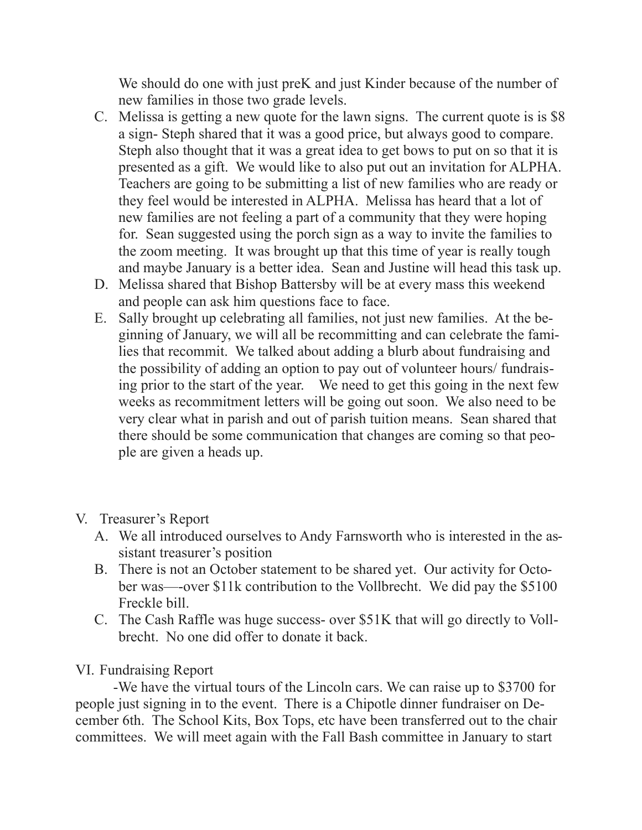We should do one with just preK and just Kinder because of the number of new families in those two grade levels.

- C. Melissa is getting a new quote for the lawn signs. The current quote is is \$8 a sign- Steph shared that it was a good price, but always good to compare. Steph also thought that it was a great idea to get bows to put on so that it is presented as a gift. We would like to also put out an invitation for ALPHA. Teachers are going to be submitting a list of new families who are ready or they feel would be interested in ALPHA. Melissa has heard that a lot of new families are not feeling a part of a community that they were hoping for. Sean suggested using the porch sign as a way to invite the families to the zoom meeting. It was brought up that this time of year is really tough and maybe January is a better idea. Sean and Justine will head this task up.
- D. Melissa shared that Bishop Battersby will be at every mass this weekend and people can ask him questions face to face.
- E. Sally brought up celebrating all families, not just new families. At the beginning of January, we will all be recommitting and can celebrate the families that recommit. We talked about adding a blurb about fundraising and the possibility of adding an option to pay out of volunteer hours/ fundraising prior to the start of the year. We need to get this going in the next few weeks as recommitment letters will be going out soon. We also need to be very clear what in parish and out of parish tuition means. Sean shared that there should be some communication that changes are coming so that people are given a heads up.
- V. Treasurer's Report
	- A. We all introduced ourselves to Andy Farnsworth who is interested in the assistant treasurer's position
	- B. There is not an October statement to be shared yet. Our activity for October was—-over \$11k contribution to the Vollbrecht. We did pay the \$5100 Freckle bill.
	- C. The Cash Raffle was huge success- over \$51K that will go directly to Vollbrecht. No one did offer to donate it back.

## VI. Fundraising Report

 -We have the virtual tours of the Lincoln cars. We can raise up to \$3700 for people just signing in to the event. There is a Chipotle dinner fundraiser on December 6th. The School Kits, Box Tops, etc have been transferred out to the chair committees. We will meet again with the Fall Bash committee in January to start